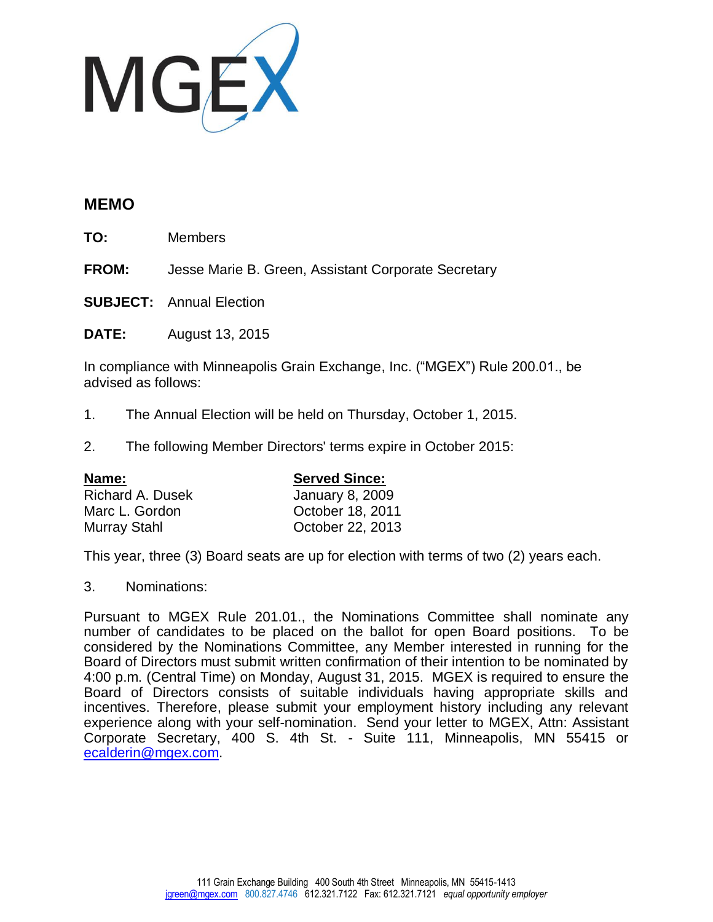

## **MEMO**

**TO:** Members

**FROM:** Jesse Marie B. Green, Assistant Corporate Secretary

**SUBJECT:** Annual Election

**DATE:** August 13, 2015

In compliance with Minneapolis Grain Exchange, Inc. ("MGEX") Rule 200.01., be advised as follows:

- 1. The Annual Election will be held on Thursday, October 1, 2015.
- 2. The following Member Directors' terms expire in October 2015:

| Name:                   | <b>Served Since:</b>   |
|-------------------------|------------------------|
| <b>Richard A. Dusek</b> | <b>January 8, 2009</b> |
| Marc L. Gordon          | October 18, 2011       |
| Murray Stahl            | October 22, 2013       |

This year, three (3) Board seats are up for election with terms of two (2) years each.

## 3. Nominations:

Pursuant to MGEX Rule 201.01., the Nominations Committee shall nominate any number of candidates to be placed on the ballot for open Board positions. To be considered by the Nominations Committee, any Member interested in running for the Board of Directors must submit written confirmation of their intention to be nominated by 4:00 p.m. (Central Time) on Monday, August 31, 2015. MGEX is required to ensure the Board of Directors consists of suitable individuals having appropriate skills and incentives. Therefore, please submit your employment history including any relevant experience along with your self-nomination. Send your letter to MGEX, Attn: Assistant Corporate Secretary, 400 S. 4th St. - Suite 111, Minneapolis, MN 55415 or [ecalderin@mgex.com.](mailto:ecalderin@mgex.com)